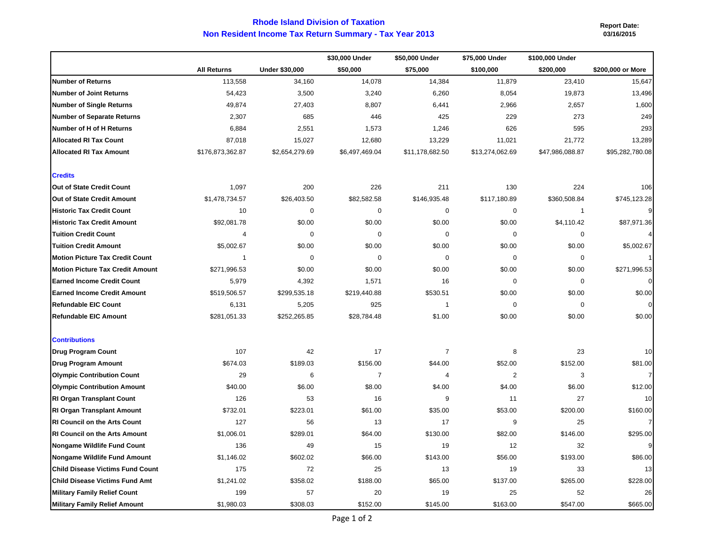## **Non Resident Income Tax Return Summary - Tax Year 2013 Rhode Island Division of Taxation**

 **Report Date: 03/16/2015**

|                                         |                    |                       | \$30,000 Under | \$50,000 Under  | \$75,000 Under  | \$100,000 Under |                   |
|-----------------------------------------|--------------------|-----------------------|----------------|-----------------|-----------------|-----------------|-------------------|
|                                         | <b>All Returns</b> | <b>Under \$30,000</b> | \$50,000       | \$75,000        | \$100,000       | \$200,000       | \$200,000 or More |
| <b>Number of Returns</b>                | 113,558            | 34,160                | 14,078         | 14,384          | 11,879          | 23,410          | 15,647            |
| <b>Number of Joint Returns</b>          | 54,423             | 3,500                 | 3,240          | 6,260           | 8,054           | 19,873          | 13,496            |
| <b>Number of Single Returns</b>         | 49,874             | 27,403                | 8,807          | 6,441           | 2,966           | 2,657           | 1,600             |
| <b>Number of Separate Returns</b>       | 2,307              | 685                   | 446            | 425             | 229             | 273             | 249               |
| Number of H of H Returns                | 6,884              | 2,551                 | 1,573          | 1,246           | 626             | 595             | 293               |
| <b>Allocated RI Tax Count</b>           | 87,018             | 15,027                | 12,680         | 13,229          | 11,021          | 21,772          | 13,289            |
| <b>Allocated RI Tax Amount</b>          | \$176,873,362.87   | \$2,654,279.69        | \$6,497,469.04 | \$11,178,682.50 | \$13,274,062.69 | \$47,986,088.87 | \$95,282,780.08   |
| <b>Credits</b>                          |                    |                       |                |                 |                 |                 |                   |
| Out of State Credit Count               | 1,097              | 200                   | 226            | 211             | 130             | 224             | 106               |
| Out of State Credit Amount              | \$1,478,734.57     | \$26,403.50           | \$82,582.58    | \$146,935.48    | \$117,180.89    | \$360,508.84    | \$745,123.28      |
| <b>Historic Tax Credit Count</b>        | 10                 | $\mathbf 0$           | $\mathbf 0$    | 0               | $\mathbf 0$     | $\overline{1}$  |                   |
| <b>Historic Tax Credit Amount</b>       | \$92,081.78        | \$0.00                | \$0.00         | \$0.00          | \$0.00          | \$4,110.42      | \$87,971.36       |
| <b>Tuition Credit Count</b>             | 4                  | $\mathbf 0$           | $\mathbf 0$    | 0               | 0               | $\mathbf 0$     |                   |
| <b>Tuition Credit Amount</b>            | \$5,002.67         | \$0.00                | \$0.00         | \$0.00          | \$0.00          | \$0.00          | \$5,002.67        |
| <b>Motion Picture Tax Credit Count</b>  | $\mathbf{1}$       | 0                     | $\Omega$       | 0               | 0               | $\mathbf 0$     |                   |
| <b>Motion Picture Tax Credit Amount</b> | \$271,996.53       | \$0.00                | \$0.00         | \$0.00          | \$0.00          | \$0.00          | \$271,996.53      |
| <b>Earned Income Credit Count</b>       | 5,979              | 4,392                 | 1,571          | 16              | $\mathbf 0$     | $\mathbf 0$     |                   |
| <b>Earned Income Credit Amount</b>      | \$519,506.57       | \$299,535.18          | \$219,440.88   | \$530.51        | \$0.00          | \$0.00          | \$0.00            |
| <b>Refundable EIC Count</b>             | 6,131              | 5,205                 | 925            | $\mathbf{1}$    | 0               | $\mathbf 0$     |                   |
| <b>Refundable EIC Amount</b>            | \$281,051.33       | \$252,265.85          | \$28,784.48    | \$1.00          | \$0.00          | \$0.00          | \$0.00            |
| <b>Contributions</b>                    |                    |                       |                |                 |                 |                 |                   |
| <b>Drug Program Count</b>               | 107                | 42                    | 17             | $\overline{7}$  | 8               | 23              | 10                |
| <b>Drug Program Amount</b>              | \$674.03           | \$189.03              | \$156.00       | \$44.00         | \$52.00         | \$152.00        | \$81.00           |
| <b>Olympic Contribution Count</b>       | 29                 | 6                     | $\overline{7}$ | 4               | $\overline{c}$  | 3               |                   |
| <b>Olympic Contribution Amount</b>      | \$40.00            | \$6.00                | \$8.00         | \$4.00          | \$4.00          | \$6.00          | \$12.00           |
| <b>RI Organ Transplant Count</b>        | 126                | 53                    | 16             | 9               | 11              | 27              | 10                |
| RI Organ Transplant Amount              | \$732.01           | \$223.01              | \$61.00        | \$35.00         | \$53.00         | \$200.00        | \$160.00          |
| <b>RI Council on the Arts Count</b>     | 127                | 56                    | 13             | 17              | 9               | 25              |                   |
| <b>RI Council on the Arts Amount</b>    | \$1,006.01         | \$289.01              | \$64.00        | \$130.00        | \$82.00         | \$146.00        | \$295.00          |
| <b>Nongame Wildlife Fund Count</b>      | 136                | 49                    | 15             | 19              | 12              | 32              |                   |
| <b>Nongame Wildlife Fund Amount</b>     | \$1,146.02         | \$602.02              | \$66.00        | \$143.00        | \$56.00         | \$193.00        | \$86.00           |
| <b>Child Disease Victims Fund Count</b> | 175                | 72                    | 25             | 13              | 19              | 33              | 13                |
| Child Disease Victims Fund Amt          | \$1,241.02         | \$358.02              | \$188.00       | \$65.00         | \$137.00        | \$265.00        | \$228.00          |
| <b>Military Family Relief Count</b>     | 199                | 57                    | 20             | 19              | 25              | 52              | 26                |
| Military Family Relief Amount           | \$1,980.03         | \$308.03              | \$152.00       | \$145.00        | \$163.00        | \$547.00        | \$665.00          |